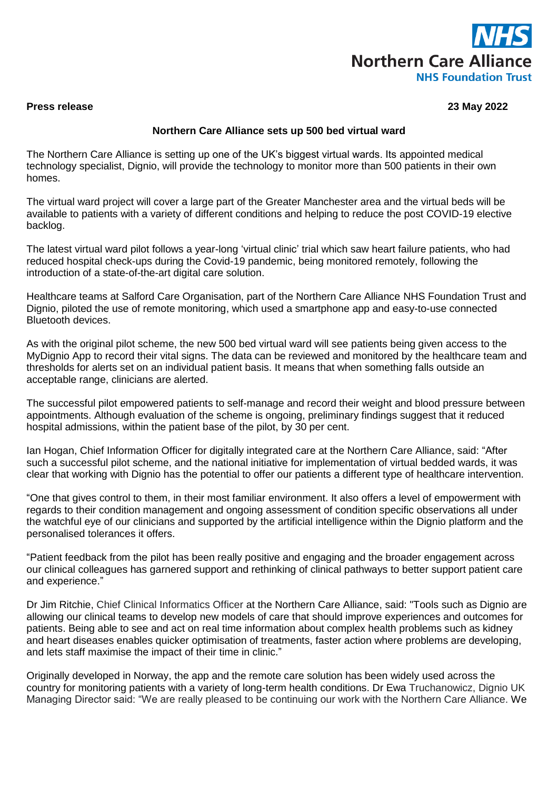

## **Press release 23 May 2022**

## **Northern Care Alliance sets up 500 bed virtual ward**

The Northern Care Alliance is setting up one of the UK's biggest virtual wards. Its appointed medical technology specialist, Dignio, will provide the technology to monitor more than 500 patients in their own homes.

The virtual ward project will cover a large part of the Greater Manchester area and the virtual beds will be available to patients with a variety of different conditions and helping to reduce the post COVID-19 elective backlog.

The latest virtual ward pilot follows a year-long 'virtual clinic' trial which saw heart failure patients, who had reduced hospital check-ups during the Covid-19 pandemic, being monitored remotely, following the introduction of a state-of-the-art digital care solution.

Healthcare teams at Salford Care Organisation, part of the Northern Care Alliance NHS Foundation Trust and Dignio, piloted the use of remote monitoring, which used a smartphone app and easy-to-use connected Bluetooth devices.

As with the original pilot scheme, the new 500 bed virtual ward will see patients being given access to the MyDignio App to record their vital signs. The data can be reviewed and monitored by the healthcare team and thresholds for alerts set on an individual patient basis. It means that when something falls outside an acceptable range, clinicians are alerted.

The successful pilot empowered patients to self-manage and record their weight and blood pressure between appointments. Although evaluation of the scheme is ongoing, preliminary findings suggest that it reduced hospital admissions, within the patient base of the pilot, by 30 per cent.

Ian Hogan, Chief Information Officer for digitally integrated care at the Northern Care Alliance, said: "After such a successful pilot scheme, and the national initiative for implementation of virtual bedded wards, it was clear that working with Dignio has the potential to offer our patients a different type of healthcare intervention.

"One that gives control to them, in their most familiar environment. It also offers a level of empowerment with regards to their condition management and ongoing assessment of condition specific observations all under the watchful eye of our clinicians and supported by the artificial intelligence within the Dignio platform and the personalised tolerances it offers.

"Patient feedback from the pilot has been really positive and engaging and the broader engagement across our clinical colleagues has garnered support and rethinking of clinical pathways to better support patient care and experience."

Dr Jim Ritchie, Chief Clinical Informatics Officer at the Northern Care Alliance, said: "Tools such as Dignio are allowing our clinical teams to develop new models of care that should improve experiences and outcomes for patients. Being able to see and act on real time information about complex health problems such as kidney and heart diseases enables quicker optimisation of treatments, faster action where problems are developing, and lets staff maximise the impact of their time in clinic."

Originally developed in Norway, the app and the remote care solution has been widely used across the country for monitoring patients with a variety of long-term health conditions. Dr Ewa Truchanowicz, Dignio UK Managing Director said: "We are really pleased to be continuing our work with the Northern Care Alliance. We